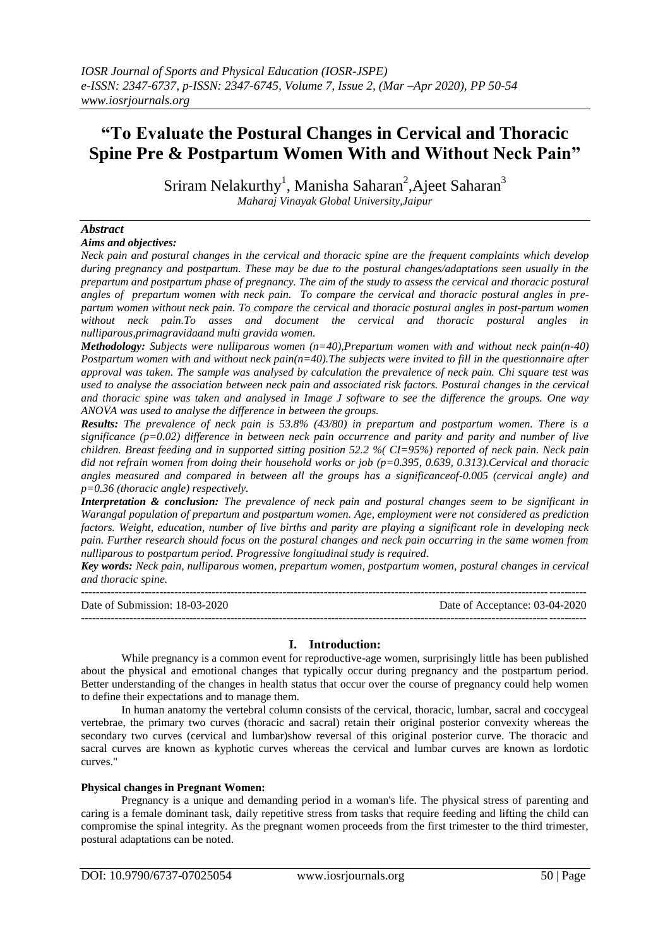# **"To Evaluate the Postural Changes in Cervical and Thoracic Spine Pre & Postpartum Women With and Without Neck Pain"**

Sriram Nelakurthy<sup>1</sup>, Manisha Saharan<sup>2</sup>, Ajeet Saharan<sup>3</sup> *Maharaj Vinayak Global University,Jaipur*

# *Abstract*

#### *Aims and objectives:*

*Neck pain and postural changes in the cervical and thoracic spine are the frequent complaints which develop during pregnancy and postpartum. These may be due to the postural changes/adaptations seen usually in the prepartum and postpartum phase of pregnancy. The aim of the study to assess the cervical and thoracic postural angles of prepartum women with neck pain. To compare the cervical and thoracic postural angles in prepartum women without neck pain. To compare the cervical and thoracic postural angles in post-partum women without neck pain.To asses and document the cervical and thoracic postural angles in nulliparous,primagravidaand multi gravida women.*

*Methodology: Subjects were nulliparous women (n=40),Prepartum women with and without neck pain(n-40) Postpartum women with and without neck pain(n=40).The subjects were invited to fill in the questionnaire after approval was taken. The sample was analysed by calculation the prevalence of neck pain. Chi square test was used to analyse the association between neck pain and associated risk factors. Postural changes in the cervical and thoracic spine was taken and analysed in Image J software to see the difference the groups. One way ANOVA was used to analyse the difference in between the groups.*

*Results: The prevalence of neck pain is 53.8% (43/80) in prepartum and postpartum women. There is a significance (p=0.02) difference in between neck pain occurrence and parity and parity and number of live children. Breast feeding and in supported sitting position 52.2 %( CI=95%) reported of neck pain. Neck pain did not refrain women from doing their household works or job (p=0.395, 0.639, 0.313).Cervical and thoracic angles measured and compared in between all the groups has a significanceof-0.005 (cervical angle) and p=0.36 (thoracic angle) respectively.*

*Interpretation & conclusion: The prevalence of neck pain and postural changes seem to be significant in Warangal population of prepartum and postpartum women. Age, employment were not considered as prediction factors. Weight, education, number of live births and parity are playing a significant role in developing neck pain. Further research should focus on the postural changes and neck pain occurring in the same women from nulliparous to postpartum period. Progressive longitudinal study is required.*

*Key words: Neck pain, nulliparous women, prepartum women, postpartum women, postural changes in cervical and thoracic spine.*

| Date of Submission: 18-03-2020 | Date of Acceptance: 03-04-2020 |
|--------------------------------|--------------------------------|
|                                |                                |

# **I. Introduction:**

While pregnancy is a common event for reproductive-age women, surprisingly little has been published about the physical and emotional changes that typically occur during pregnancy and the postpartum period. Better understanding of the changes in health status that occur over the course of pregnancy could help women to define their expectations and to manage them.

In human anatomy the vertebral column consists of the cervical, thoracic, lumbar, sacral and coccygeal vertebrae, the primary two curves (thoracic and sacral) retain their original posterior convexity whereas the secondary two curves (cervical and lumbar)show reversal of this original posterior curve. The thoracic and sacral curves are known as kyphotic curves whereas the cervical and lumbar curves are known as lordotic curves."

## **Physical changes in Pregnant Women:**

Pregnancy is a unique and demanding period in a woman's life. The physical stress of parenting and caring is a female dominant task, daily repetitive stress from tasks that require feeding and lifting the child can compromise the spinal integrity. As the pregnant women proceeds from the first trimester to the third trimester, postural adaptations can be noted.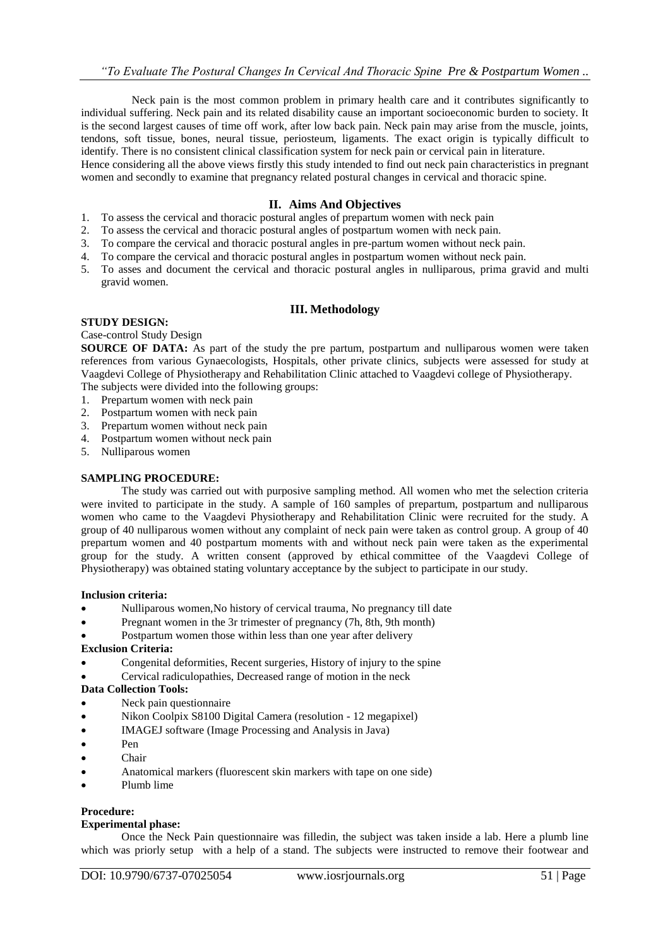Neck pain is the most common problem in primary health care and it contributes significantly to individual suffering. Neck pain and its related disability cause an important socioeconomic burden to society. It is the second largest causes of time off work, after low back pain. Neck pain may arise from the muscle, joints, tendons, soft tissue, bones, neural tissue, periosteum, ligaments. The exact origin is typically difficult to identify. There is no consistent clinical classification system for neck pain or cervical pain in literature. Hence considering all the above views firstly this study intended to find out neck pain characteristics in pregnant women and secondly to examine that pregnancy related postural changes in cervical and thoracic spine.

# **II. Aims And Objectives**

- 1. To assess the cervical and thoracic postural angles of prepartum women with neck pain
- 2. To assess the cervical and thoracic postural angles of postpartum women with neck pain.
- 3. To compare the cervical and thoracic postural angles in pre-partum women without neck pain.
- 4. To compare the cervical and thoracic postural angles in postpartum women without neck pain.
- 5. To asses and document the cervical and thoracic postural angles in nulliparous, prima gravid and multi gravid women.

# **III. Methodology**

## **STUDY DESIGN:**

## Case-control Study Design

**SOURCE OF DATA:** As part of the study the pre partum, postpartum and nulliparous women were taken references from various Gynaecologists, Hospitals, other private clinics, subjects were assessed for study at Vaagdevi College of Physiotherapy and Rehabilitation Clinic attached to Vaagdevi college of Physiotherapy. The subjects were divided into the following groups:

- 1. Prepartum women with neck pain
- 2. Postpartum women with neck pain
- 3. Prepartum women without neck pain
- 4. Postpartum women without neck pain
- 5. Nulliparous women

# **SAMPLING PROCEDURE:**

The study was carried out with purposive sampling method. All women who met the selection criteria were invited to participate in the study. A sample of 160 samples of prepartum, postpartum and nulliparous women who came to the Vaagdevi Physiotherapy and Rehabilitation Clinic were recruited for the study. A group of 40 nulliparous women without any complaint of neck pain were taken as control group. A group of 40 prepartum women and 40 postpartum moments with and without neck pain were taken as the experimental group for the study. A written consent (approved by ethical committee of the Vaagdevi College of Physiotherapy) was obtained stating voluntary acceptance by the subject to participate in our study.

## **Inclusion criteria:**

- Nulliparous women,No history of cervical trauma, No pregnancy till date
- Pregnant women in the 3r trimester of pregnancy (7h, 8th, 9th month)
- Postpartum women those within less than one year after delivery

# **Exclusion Criteria:**

- Congenital deformities, Recent surgeries, History of injury to the spine
- Cervical radiculopathies, Decreased range of motion in the neck

# **Data Collection Tools:**

- Neck pain questionnaire
- Nikon Coolpix S8100 Digital Camera (resolution 12 megapixel)
- IMAGEJ software (Image Processing and Analysis in Java)
- Pen
- Chair
- Anatomical markers (fluorescent skin markers with tape on one side)
- Plumb lime

# **Procedure:**

## **Experimental phase:**

Once the Neck Pain questionnaire was filledin, the subject was taken inside a lab. Here a plumb line which was priorly setup with a help of a stand. The subjects were instructed to remove their footwear and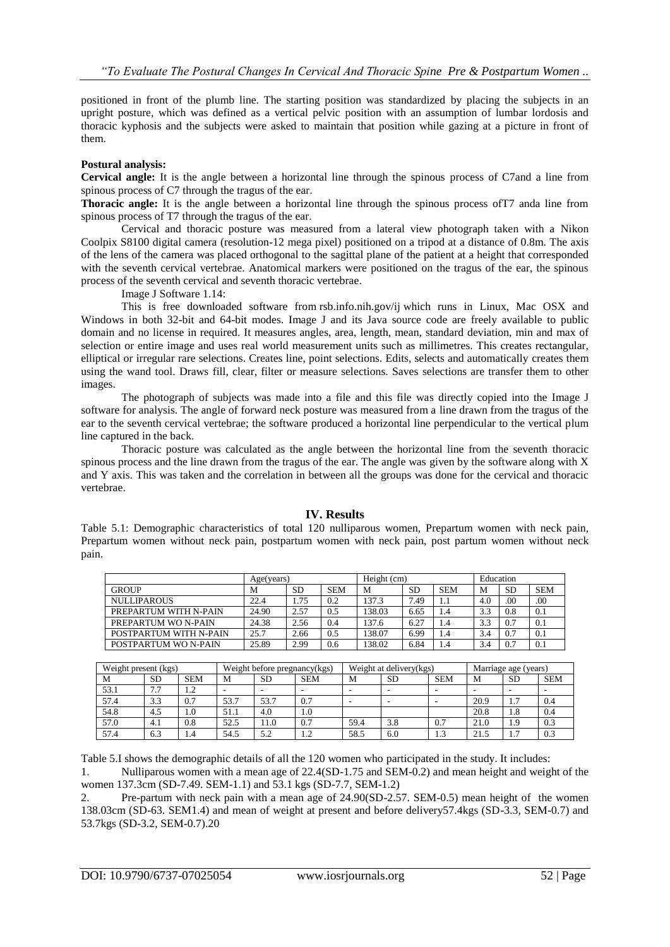positioned in front of the plumb line. The starting position was standardized by placing the subjects in an upright posture, which was defined as a vertical pelvic position with an assumption of lumbar lordosis and thoracic kyphosis and the subjects were asked to maintain that position while gazing at a picture in front of them.

# **Postural analysis:**

**Cervical angle:** It is the angle between a horizontal line through the spinous process of C7and a line from spinous process of C7 through the tragus of the ear.

**Thoracic angle:** It is the angle between a horizontal line through the spinous process ofT7 anda line from spinous process of T7 through the tragus of the ear.

Cervical and thoracic posture was measured from a lateral view photograph taken with a Nikon Coolpix S8100 digital camera (resolution-12 mega pixel) positioned on a tripod at a distance of 0.8m. The axis of the lens of the camera was placed orthogonal to the sagittal plane of the patient at a height that corresponded with the seventh cervical vertebrae. Anatomical markers were positioned on the tragus of the ear, the spinous process of the seventh cervical and seventh thoracic vertebrae.

Image J Software 1.14:

This is free downloaded software from [rsb.info.nih.gov/ij](http://rsb.info.nih.gov/ij) which runs in Linux, Mac OSX and Windows in both 32-bit and 64-bit modes. Image J and its Java source code are freely available to public domain and no license in required. It measures angles, area, length, mean, standard deviation, min and max of selection or entire image and uses real world measurement units such as millimetres. This creates rectangular, elliptical or irregular rare selections. Creates line, point selections. Edits, selects and automatically creates them using the wand tool. Draws fill, clear, filter or measure selections. Saves selections are transfer them to other images.

The photograph of subjects was made into a file and this file was directly copied into the Image J software for analysis. The angle of forward neck posture was measured from a line drawn from the tragus of the ear to the seventh cervical vertebrae; the software produced a horizontal line perpendicular to the vertical plum line captured in the back.

Thoracic posture was calculated as the angle between the horizontal line from the seventh thoracic spinous process and the line drawn from the tragus of the ear. The angle was given by the software along with X and Y axis. This was taken and the correlation in between all the groups was done for the cervical and thoracic vertebrae.

# **IV. Results**

Table 5.1: Demographic characteristics of total 120 nulliparous women, Prepartum women with neck pain, Prepartum women without neck pain, postpartum women with neck pain, post partum women without neck pain.

|                        | Age(years) |           |            | Height (cm) |           |            | Education |           |            |
|------------------------|------------|-----------|------------|-------------|-----------|------------|-----------|-----------|------------|
| <b>GROUP</b>           | M          | <b>SD</b> | <b>SEM</b> | M           | <b>SD</b> | <b>SEM</b> | м         | <b>SD</b> | <b>SEM</b> |
| <b>NULLIPAROUS</b>     | 22.4       | 1.75      | 0.2        | 137.3       | 7.49      | 1.1        | 4.0       | .00       | .00        |
| PREPARTUM WITH N-PAIN  | 24.90      | 2.57      | 0.5        | 138.03      | 6.65      | 1.4        | 3.3       | 0.8       | 0.1        |
| PREPARTUM WO N-PAIN    | 24.38      | 2.56      | 0.4        | 137.6       | 6.27      | 1.4        | 3.3       | 0.7       | 0.1        |
| POSTPARTUM WITH N-PAIN | 25.7       | 2.66      | 0.5        | 138.07      | 6.99      |            | 3.4       | 0.7       | 0.1        |
| POSTPARTUM WO N-PAIN   | 25.89      | 2.99      | 0.6        | 138.02      | 6.84      | 1.4        | 3.4       | 0.7       | 0.1        |

| Weight present (kgs) |           |            |      |           | Weight before pregnancy(kgs) | Weight at delivery(kgs) |           |                  | Marriage age (years) |           |            |
|----------------------|-----------|------------|------|-----------|------------------------------|-------------------------|-----------|------------------|----------------------|-----------|------------|
| М                    | <b>SD</b> | <b>SEM</b> | М    | <b>SD</b> | <b>SEM</b>                   | M                       | <b>SD</b> | <b>SEM</b>       | M                    | <b>SD</b> | <b>SEM</b> |
| 53.1                 | 7.7       | ר ו<br>1.4 |      | -         |                              |                         |           |                  |                      | -         |            |
| 57.4                 | 3.3       | 0.7        | 53.7 | 53.7      | 0.7                          |                         | -         |                  | 20.9                 | 1.7       | 0.4        |
| 54.8                 | 4.5       | 1.0        | 51.1 | 4.0       | 1.0                          |                         |           |                  | 20.8                 | 1.8       | 0.4        |
| 57.0                 | 4.1       | 0.8        | 52.5 | 11.0      | 0.7                          | 59.4                    | 3.8       | 0.7              | 21.0                 | 1.9       | 0.3        |
| 57.4                 | 6.3       | 1.4        | 54.5 | 5.2       | 1.2                          | 58.5                    | 6.0       | $\bigcap$<br>1.3 | 21.5                 | 1.7       | 0.3        |

Table 5.I shows the demographic details of all the 120 women who participated in the study. It includes:

1. Nulliparous women with a mean age of 22.4(SD-1.75 and SEM-0.2) and mean height and weight of the women 137.3cm (SD-7.49. SEM-1.1) and 53.1 kgs (SD-7.7, SEM-1.2)

2. Pre-partum with neck pain with a mean age of 24.90(SD-2.57. SEM-0.5) mean height of the women 138.03cm (SD-63. SEM1.4) and mean of weight at present and before delivery57.4kgs (SD-3.3, SEM-0.7) and 53.7kgs (SD-3.2, SEM-0.7).20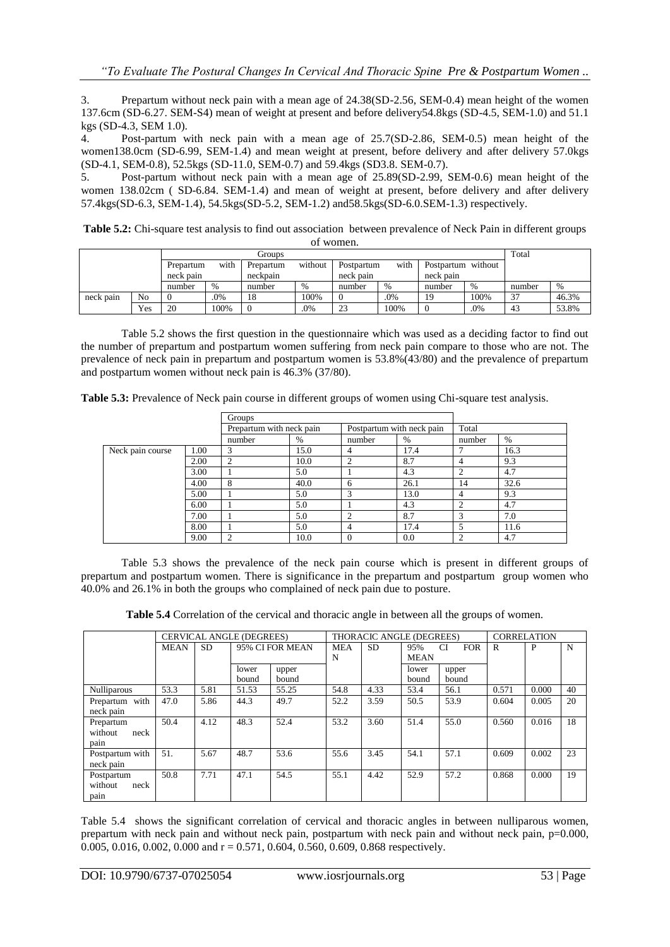3. Prepartum without neck pain with a mean age of 24.38(SD-2.56, SEM-0.4) mean height of the women 137.6cm (SD-6.27. SEM-S4) mean of weight at present and before delivery54.8kgs (SD-4.5, SEM-1.0) and 51.1 kgs (SD-4.3, SEM 1.0).

4. Post-partum with neck pain with a mean age of 25.7(SD-2.86, SEM-0.5) mean height of the women138.0cm (SD-6.99, SEM-1.4) and mean weight at present, before delivery and after delivery 57.0kgs (SD-4.1, SEM-0.8), 52.5kgs (SD-11.0, SEM-0.7) and 59.4kgs (SD3.8. SEM-0.7).

5. Post-partum without neck pain with a mean age of 25.89(SD-2.99, SEM-0.6) mean height of the women 138.02cm ( SD-6.84. SEM-1.4) and mean of weight at present, before delivery and after delivery 57.4kgs(SD-6.3, SEM-1.4), 54.5kgs(SD-5.2, SEM-1.2) and58.5kgs(SD-6.0.SEM-1.3) respectively.

**Table 5.2:** Chi-square test analysis to find out association between prevalence of Neck Pain in different groups of women.

|                   |                |           |         | Groups   |                    |           |                    |           |      | Total  |       |
|-------------------|----------------|-----------|---------|----------|--------------------|-----------|--------------------|-----------|------|--------|-------|
| with<br>Prepartum |                | Prepartum | without |          | with<br>Postpartum |           | Postpartum without |           |      |        |       |
|                   |                | neck pain |         | neckpain |                    | neck pain |                    | neck pain |      |        |       |
|                   |                | number    | $\%$    | number   | %                  | number    | %                  | number    | %    | number | %     |
| neck pain         | N <sub>0</sub> |           | .0%     | 18       | 100%               | 0         | .0%                | 19        | 100% | 37     | 46.3% |
|                   | Yes            | 20        | 100%    |          | .0%                | 23        | 100%               |           | .0%  | 43     | 53.8% |

Table 5.2 shows the first question in the questionnaire which was used as a deciding factor to find out the number of prepartum and postpartum women suffering from neck pain compare to those who are not. The prevalence of neck pain in prepartum and postpartum women is 53.8%(43/80) and the prevalence of prepartum and postpartum women without neck pain is 46.3% (37/80).

**Table 5.3:** Prevalence of Neck pain course in different groups of women using Chi-square test analysis.

|                  |      | Groups                   |      |                |                           |        |      |  |
|------------------|------|--------------------------|------|----------------|---------------------------|--------|------|--|
|                  |      | Prepartum with neck pain |      |                | Postpartum with neck pain | Total  |      |  |
|                  |      | number                   | $\%$ | number         | $\%$                      | number | $\%$ |  |
| Neck pain course | 1.00 | 3                        | 15.0 | 4              | 17.4                      |        | 16.3 |  |
|                  | 2.00 | $\overline{2}$           | 10.0 | $\overline{c}$ | 8.7                       | 4      | 9.3  |  |
|                  | 3.00 |                          | 5.0  |                | 4.3                       |        | 4.7  |  |
|                  | 4.00 | 8                        | 40.0 | 6              | 26.1                      | 14     | 32.6 |  |
|                  | 5.00 |                          | 5.0  | 3              | 13.0                      | 4      | 9.3  |  |
|                  | 6.00 |                          | 5.0  |                | 4.3                       | ◠      | 4.7  |  |
|                  | 7.00 |                          | 5.0  | ◠              | 8.7                       | 3      | 7.0  |  |
|                  | 8.00 |                          | 5.0  | 4              | 17.4                      |        | 11.6 |  |
|                  | 9.00 | $\overline{2}$           | 10.0 | $\theta$       | 0.0                       | ◠      | 4.7  |  |

Table 5.3 shows the prevalence of the neck pain course which is present in different groups of prepartum and postpartum women. There is significance in the prepartum and postpartum group women who 40.0% and 26.1% in both the groups who complained of neck pain due to posture.

**Table 5.4** Correlation of the cervical and thoracic angle in between all the groups of women.

|                 |             |      | <b>CERVICAL ANGLE (DEGREES)</b> |                 |            | THORACIC ANGLE (DEGREES) |             |                         | <b>CORRELATION</b> |       |    |
|-----------------|-------------|------|---------------------------------|-----------------|------------|--------------------------|-------------|-------------------------|--------------------|-------|----|
|                 | <b>MEAN</b> | SD.  |                                 | 95% CI FOR MEAN | <b>MEA</b> | <b>SD</b>                | 95%         | <b>FOR</b><br><b>CI</b> | R                  | P     | N  |
|                 |             |      |                                 |                 | N          |                          | <b>MEAN</b> |                         |                    |       |    |
|                 |             |      | lower                           | upper           |            |                          | lower       | upper                   |                    |       |    |
|                 |             |      | bound                           | bound           |            |                          | bound       | bound                   |                    |       |    |
| Nulliparous     | 53.3        | 5.81 | 51.53                           | 55.25           | 54.8       | 4.33                     | 53.4        | 56.1                    | 0.571              | 0.000 | 40 |
| Prepartum with  | 47.0        | 5.86 | 44.3                            | 49.7            | 52.2       | 3.59                     | 50.5        | 53.9                    | 0.604              | 0.005 | 20 |
| neck pain       |             |      |                                 |                 |            |                          |             |                         |                    |       |    |
| Prepartum       | 50.4        | 4.12 | 48.3                            | 52.4            | 53.2       | 3.60                     | 51.4        | 55.0                    | 0.560              | 0.016 | 18 |
| without<br>neck |             |      |                                 |                 |            |                          |             |                         |                    |       |    |
| pain            |             |      |                                 |                 |            |                          |             |                         |                    |       |    |
| Postpartum with | 51.         | 5.67 | 48.7                            | 53.6            | 55.6       | 3.45                     | 54.1        | 57.1                    | 0.609              | 0.002 | 23 |
| neck pain       |             |      |                                 |                 |            |                          |             |                         |                    |       |    |
| Postpartum      | 50.8        | 7.71 | 47.1                            | 54.5            | 55.1       | 4.42                     | 52.9        | 57.2                    | 0.868              | 0.000 | 19 |
| without<br>neck |             |      |                                 |                 |            |                          |             |                         |                    |       |    |
| pain            |             |      |                                 |                 |            |                          |             |                         |                    |       |    |

Table 5.4 shows the significant correlation of cervical and thoracic angles in between nulliparous women, prepartum with neck pain and without neck pain, postpartum with neck pain and without neck pain, p=0.000, 0.005, 0.016, 0.002, 0.000 and  $r = 0.571$ , 0.604, 0.560, 0.609, 0.868 respectively.